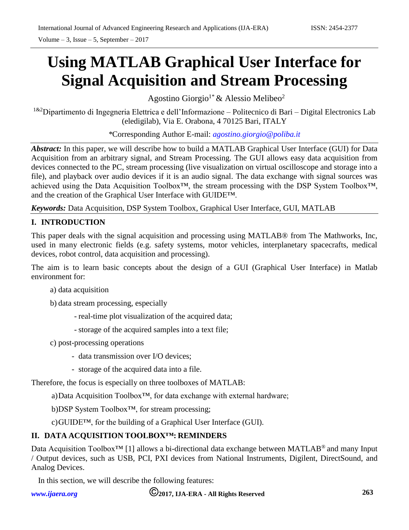Volume – 3, Issue – 5, September –  $2017$ 

# **Using MATLAB Graphical User Interface for Signal Acquisition and Stream Processing**

Agostino Giorgio<sup>1\*</sup> & Alessio Melibeo<sup>2</sup>

<sup>1&2</sup>Dipartimento di Ingegneria Elettrica e dell'Informazione – Politecnico di Bari – Digital Electronics Lab (eledigilab), Via E. Orabona, 4 70125 Bari, ITALY

*\**Corresponding Author E-mail: *[agostino.giorgio@poliba.it](mailto:agostino.giorgio@poliba.it)*

*Abstract:* In this paper, we will describe how to build a MATLAB Graphical User Interface (GUI) for Data Acquisition from an arbitrary signal, and Stream Processing. The GUI allows easy data acquisition from devices connected to the PC, stream processing (live visualization on virtual oscilloscope and storage into a file), and playback over audio devices if it is an audio signal. The data exchange with signal sources was achieved using the Data Acquisition Toolbox™, the stream processing with the DSP System Toolbox™, and the creation of the Graphical User Interface with GUIDE™.

*Keywords:* Data Acquisition, DSP System Toolbox, Graphical User Interface, GUI, MATLAB

# **I. INTRODUCTION**

This paper deals with the signal acquisition and processing using MATLAB® from The Mathworks, Inc, used in many electronic fields (e.g. safety systems, motor vehicles, interplanetary spacecrafts, medical devices, robot control, data acquisition and processing).

The aim is to learn basic concepts about the design of a GUI (Graphical User Interface) in Matlab environment for:

a) data acquisition

b) data stream processing, especially

- real-time plot visualization of the acquired data;
- storage of the acquired samples into a text file;
- c) post-processing operations
	- data transmission over I/O devices;
	- storage of the acquired data into a file.

Therefore, the focus is especially on three toolboxes of MATLAB:

a)Data Acquisition Toolbox™, for data exchange with external hardware;

b)DSP System Toolbox™, for stream processing;

c)GUIDE™, for the building of a Graphical User Interface (GUI).

# **II. DATA ACQUISITION TOOLBOX™: REMINDERS**

Data Acquisition Toolbox<sup>™</sup> [1] allows a bi-directional data exchange between MATLAB<sup>®</sup> and many Input / Output devices, such as USB, PCI, PXI devices from National Instruments, Digilent, DirectSound, and Analog Devices.

In this section, we will describe the following features:

*[www.ijaera.org](http://www.ijaera.org/)* **2017, IJA-ERA - All Rights Reserved 263**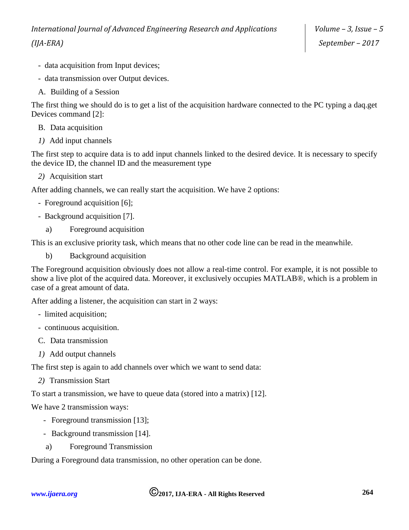- data acquisition from Input devices;
- data transmission over Output devices.
- A. Building of a Session

The first thing we should do is to get a list of the acquisition hardware connected to the PC typing a daq.get Devices command [2]:

- B. Data acquisition
- *1)* Add input channels

The first step to acquire data is to add input channels linked to the desired device. It is necessary to specify the device ID, the channel ID and the measurement type

*2)* Acquisition start

After adding channels, we can really start the acquisition. We have 2 options:

- Foreground acquisition [6];
- Background acquisition [7].
	- a) Foreground acquisition

This is an exclusive priority task, which means that no other code line can be read in the meanwhile.

b) Background acquisition

The Foreground acquisition obviously does not allow a real-time control. For example, it is not possible to show a live plot of the acquired data. Moreover, it exclusively occupies MATLAB®, which is a problem in case of a great amount of data.

After adding a listener, the acquisition can start in 2 ways:

- limited acquisition;
- continuous acquisition.
- C. Data transmission
- *1)* Add output channels

The first step is again to add channels over which we want to send data:

*2)* Transmission Start

To start a transmission, we have to queue data (stored into a matrix) [12].

We have 2 transmission ways:

- Foreground transmission [13];
- Background transmission [14].
- a) Foreground Transmission

During a Foreground data transmission, no other operation can be done.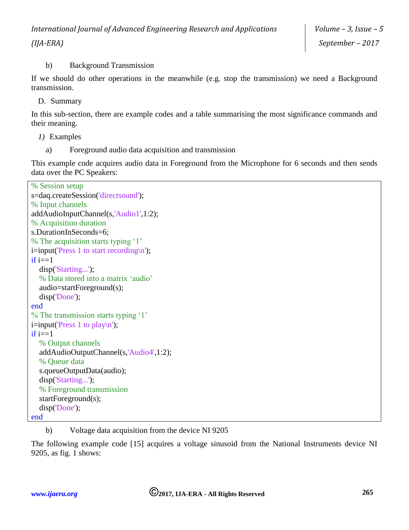## b) Background Transmission

If we should do other operations in the meanwhile (e.g. stop the transmission) we need a Background transmission.

D. Summary

In this sub-section, there are example codes and a table summarising the most significance commands and their meaning.

- *1)* Examples
	- a) Foreground audio data acquisition and transmission

This example code acquires audio data in Foreground from the Microphone for 6 seconds and then sends data over the PC Speakers:

```
% Session setup
s=daq.createSession('directsound');
% Input channels
addAudioInputChannel(s,'Audio1',1:2);
% Acquisition duration
s.DurationInSeconds=6;
% The acquisition starts typing '1'
i=input('Press 1 to start recording\n');
if i==1 disp('Starting...');
   % Data stored into a matrix 'audio'
   audio=startForeground(s);
   disp('Done');
end
% The transmission starts typing '1'
i=input('Press 1 to play\n');
if i == 1 % Output channels
   addAudioOutputChannel(s,'Audio4',1:2);
   % Queue data
   s.queueOutputData(audio);
   disp('Starting...');
   % Foreground transmission
   startForeground(s);
   disp('Done');
end
```
b) Voltage data acquisition from the device NI 9205

The following example code [15] acquires a voltage sinusoid from the National Instruments device NI 9205, as fig. 1 shows: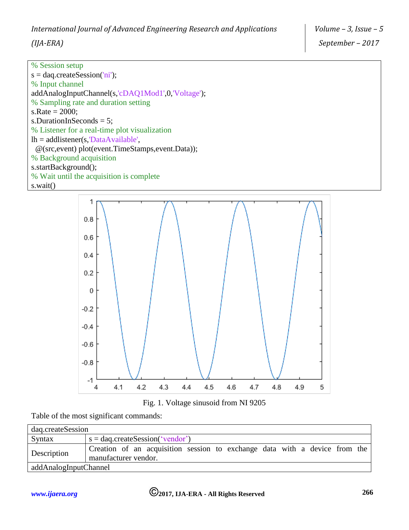| % Session setup                                   |
|---------------------------------------------------|
| $s =$ daq.createSession('ni');                    |
| % Input channel                                   |
| addAnalogInputChannel(s,'cDAQ1Mod1',0,'Voltage'); |
| % Sampling rate and duration setting              |
| s.Rate = $2000$ ;                                 |
| s.DurationInSeconds = $5$ ;                       |
| % Listener for a real-time plot visualization     |
| $lh = addListener(s, 'DataAvailable',')$          |
| @(src,event) plot(event.TimeStamps,event.Data));  |
| % Background acquisition                          |
| s.startBackground();                              |
| % Wait until the acquisition is complete          |
|                                                   |

s.wait()





Table of the most significant commands:

| dag.createSession     |                                                                                                    |
|-----------------------|----------------------------------------------------------------------------------------------------|
| Syntax                | $s =$ dag.createSession('vendor')                                                                  |
| Description           | Creation of an acquisition session to exchange data with a device from the<br>manufacturer vendor. |
| addAnalogInputChannel |                                                                                                    |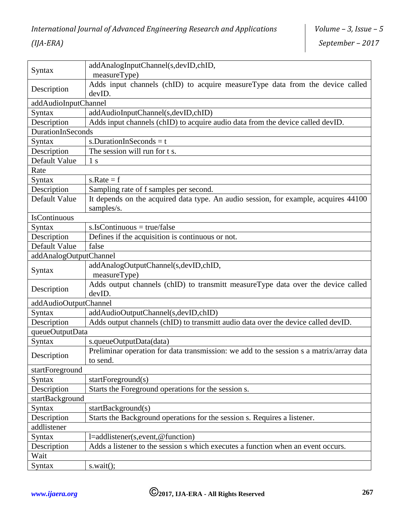| Syntax                 | addAnalogInputChannel(s,devID,chID,<br>measureType)                                                 |  |  |  |  |  |  |
|------------------------|-----------------------------------------------------------------------------------------------------|--|--|--|--|--|--|
| Description            | Adds input channels (chID) to acquire measureType data from the device called<br>devID.             |  |  |  |  |  |  |
| addAudioInputChannel   |                                                                                                     |  |  |  |  |  |  |
| Syntax                 | addAudioInputChannel(s,devID,chID)                                                                  |  |  |  |  |  |  |
| Description            | Adds input channels (chID) to acquire audio data from the device called devID.                      |  |  |  |  |  |  |
| DurationInSeconds      |                                                                                                     |  |  |  |  |  |  |
| Syntax                 | s.DurationInSeconds = $t$                                                                           |  |  |  |  |  |  |
| Description            | The session will run for t s.                                                                       |  |  |  |  |  |  |
| Default Value          | 1 <sub>s</sub>                                                                                      |  |  |  |  |  |  |
| Rate                   |                                                                                                     |  |  |  |  |  |  |
| Syntax                 | $s.Rate = f$                                                                                        |  |  |  |  |  |  |
| Description            | Sampling rate of f samples per second.                                                              |  |  |  |  |  |  |
| Default Value          | It depends on the acquired data type. An audio session, for example, acquires 44100<br>samples/s.   |  |  |  |  |  |  |
| IsContinuous           |                                                                                                     |  |  |  |  |  |  |
| Syntax                 | $s.IsContinuous = true/false$                                                                       |  |  |  |  |  |  |
| Description            | Defines if the acquisition is continuous or not.                                                    |  |  |  |  |  |  |
| Default Value          | false                                                                                               |  |  |  |  |  |  |
| addAnalogOutputChannel |                                                                                                     |  |  |  |  |  |  |
| Syntax                 | addAnalogOutputChannel(s,devID,chID,<br>measureType)                                                |  |  |  |  |  |  |
| Description            | Adds output channels (chID) to transmitt measureType data over the device called<br>devID.          |  |  |  |  |  |  |
| addAudioOutputChannel  |                                                                                                     |  |  |  |  |  |  |
| Syntax                 | addAudioOutputChannel(s,devID,chID)                                                                 |  |  |  |  |  |  |
| Description            | Adds output channels (chID) to transmitt audio data over the device called devID.                   |  |  |  |  |  |  |
| queueOutputData        |                                                                                                     |  |  |  |  |  |  |
| Syntax                 | s.queueOutputData(data)                                                                             |  |  |  |  |  |  |
| Description            | Preliminar operation for data transmission: we add to the session s a matrix/array data<br>to send. |  |  |  |  |  |  |
| startForeground        |                                                                                                     |  |  |  |  |  |  |
| Syntax                 | startForeground(s)                                                                                  |  |  |  |  |  |  |
| Description            | Starts the Foreground operations for the session s.                                                 |  |  |  |  |  |  |
| startBackground        |                                                                                                     |  |  |  |  |  |  |
| <b>Syntax</b>          | startBackground(s)                                                                                  |  |  |  |  |  |  |
| Description            | Starts the Background operations for the session s. Requires a listener.                            |  |  |  |  |  |  |
| addlistener            |                                                                                                     |  |  |  |  |  |  |
| Syntax                 | l=addlistener(s,event,@function)                                                                    |  |  |  |  |  |  |
| Description            | Adds a listener to the session s which executes a function when an event occurs.                    |  |  |  |  |  |  |
| Wait                   |                                                                                                     |  |  |  |  |  |  |
| Syntax                 | s.wait();                                                                                           |  |  |  |  |  |  |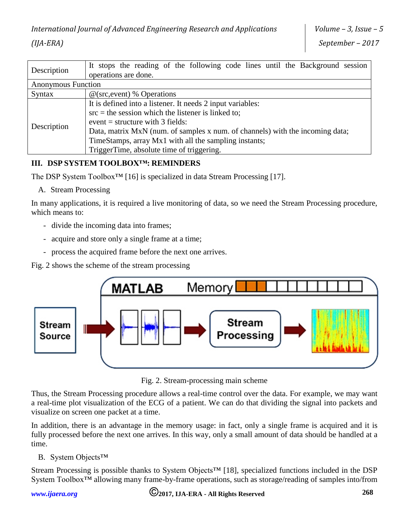| Description               | It stops the reading of the following code lines until the Background session |  |  |  |  |  |  |  |
|---------------------------|-------------------------------------------------------------------------------|--|--|--|--|--|--|--|
|                           | operations are done.                                                          |  |  |  |  |  |  |  |
| <b>Anonymous Function</b> |                                                                               |  |  |  |  |  |  |  |
| Syntax                    | $@$ (src, event) % Operations                                                 |  |  |  |  |  |  |  |
|                           | It is defined into a listener. It needs 2 input variables:                    |  |  |  |  |  |  |  |
|                           | $src = the session which the listener is linked to;$                          |  |  |  |  |  |  |  |
|                           | event = structure with $3$ fields:                                            |  |  |  |  |  |  |  |
| Description               | Data, matrix MxN (num. of samples x num. of channels) with the incoming data; |  |  |  |  |  |  |  |
|                           | TimeStamps, array Mx1 with all the sampling instants;                         |  |  |  |  |  |  |  |
|                           | TriggerTime, absolute time of triggering.                                     |  |  |  |  |  |  |  |

## **III. DSP SYSTEM TOOLBOX™: REMINDERS**

The DSP System Toolbox<sup>™</sup> [16] is specialized in data Stream Processing [17].

A. Stream Processing

In many applications, it is required a live monitoring of data, so we need the Stream Processing procedure, which means to:

- divide the incoming data into frames;
- acquire and store only a single frame at a time;
- process the acquired frame before the next one arrives.

Fig. 2 shows the scheme of the stream processing



Fig. 2. Stream-processing main scheme

Thus, the Stream Processing procedure allows a real-time control over the data. For example, we may want a real-time plot visualization of the ECG of a patient. We can do that dividing the signal into packets and visualize on screen one packet at a time.

In addition, there is an advantage in the memory usage: in fact, only a single frame is acquired and it is fully processed before the next one arrives. In this way, only a small amount of data should be handled at a time.

B. System Objects™

Stream Processing is possible thanks to System Objects™ [18], specialized functions included in the DSP System Toolbox™ allowing many frame-by-frame operations, such as storage/reading of samples into/from

*[www.ijaera.org](http://www.ijaera.org/)* **2017, IJA-ERA - All Rights Reserved 268**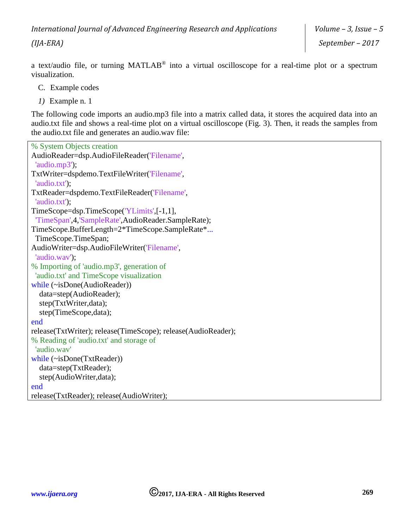*(IJA-ERA)*

a text/audio file, or turning MATLAB® into a virtual oscilloscope for a real-time plot or a spectrum visualization.

- C. Example codes
- *1)* Example n. 1

The following code imports an audio.mp3 file into a matrix called data, it stores the acquired data into an audio.txt file and shows a real-time plot on a virtual oscilloscope (Fig. 3). Then, it reads the samples from the audio.txt file and generates an audio.wav file:

```
% System Objects creation
AudioReader=dsp.AudioFileReader('Filename', 
  'audio.mp3');
TxtWriter=dspdemo.TextFileWriter('Filename',
  'audio.txt');
TxtReader=dspdemo.TextFileReader('Filename',
  'audio.txt');
TimeScope=dsp.TimeScope('YLimits',[-1,1],
 'TimeSpan',4,'SampleRate',AudioReader.SampleRate);
TimeScope.BufferLength=2*TimeScope.SampleRate*...
  TimeScope.TimeSpan;
AudioWriter=dsp.AudioFileWriter('Filename',
  'audio.wav');
% Importing of 'audio.mp3', generation of 
  'audio.txt' and TimeScope visualization
while (~isDone(AudioReader))
   data=step(AudioReader);
   step(TxtWriter,data);
   step(TimeScope,data);
end
release(TxtWriter); release(TimeScope); release(AudioReader);
% Reading of 'audio.txt' and storage of 
  'audio.wav'
while (~isDone(TxtReader))
   data=step(TxtReader);
   step(AudioWriter,data);
end
release(TxtReader); release(AudioWriter);
```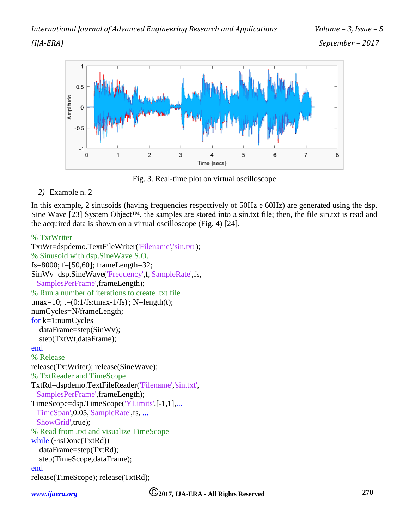

Fig. 3. Real-time plot on virtual oscilloscope

## *2)* Example n. 2

In this example, 2 sinusoids (having frequencies respectively of 50Hz e 60Hz) are generated using the dsp. Sine Wave [23] System Object<sup>™</sup>, the samples are stored into a sin.txt file; then, the file sin.txt is read and the acquired data is shown on a virtual oscilloscope (Fig. 4) [24].

```
% TxtWriter
TxtWt=dspdemo.TextFileWriter('Filename','sin.txt');
% Sinusoid with dsp.SineWave S.O.
fs=8000; f=[50,60]; frameLength=32;
SinWv=dsp.SineWave('Frequency',f,'SampleRate',fs, 
  'SamplesPerFrame',frameLength);
% Run a number of iterations to create .txt file
tmax=10; t=(0:1/fs:tmax-1/fs)'; N=length(t);
numCycles=N/frameLength;
for k=1:numCycles
   dataFrame=step(SinWv);
   step(TxtWt,dataFrame);
end
% Release
release(TxtWriter); release(SineWave);
% TxtReader and TimeScope
TxtRd=dspdemo.TextFileReader('Filename','sin.txt',
  'SamplesPerFrame',frameLength);
TimeScope=dsp.TimeScope('YLimits',[-1,1],...
  'TimeSpan',0.05,'SampleRate',fs, ...
 'ShowGrid',true);
% Read from .txt and visualize TimeScope
while (~isDone(TxtRd))
   dataFrame=step(TxtRd);
   step(TimeScope,dataFrame);
end
release(TimeScope); release(TxtRd);
```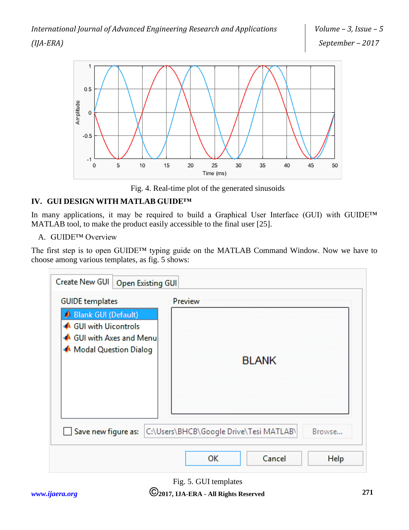

Fig. 4. Real-time plot of the generated sinusoids

# **IV. GUI DESIGN WITH MATLAB GUIDE™**

In many applications, it may be required to build a Graphical User Interface (GUI) with GUIDE™ MATLAB tool, to make the product easily accessible to the final user [25].

A. GUIDE™ Overview

The first step is to open GUIDE™ typing guide on the MATLAB Command Window. Now we have to choose among various templates, as fig. 5 shows:

| Create New GUI<br>Open Existing GUI                                                             |                                                   |
|-------------------------------------------------------------------------------------------------|---------------------------------------------------|
| <b>GUIDE</b> templates                                                                          | Preview                                           |
| Blank GUI (Default)<br>GUI with Uicontrols<br>▲ GUI with Axes and Menu<br>Modal Question Dialog | <b>BLANK</b>                                      |
| Save new figure as:                                                                             | C:\Users\BHCB\Google Drive\Tesi MATLAB\<br>Browse |
|                                                                                                 | Cancel<br>ОΚ<br>Help                              |

Fig. 5. GUI templates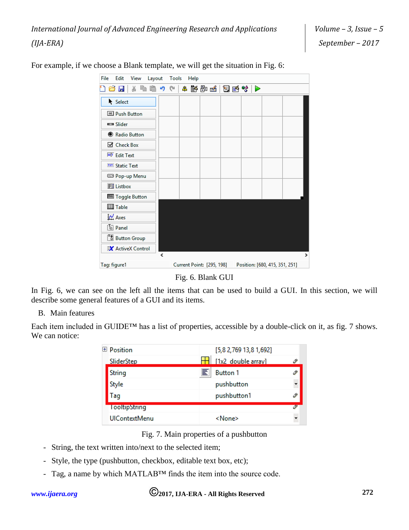| File         | Edit                                                                              | View | Layout |   | Tools | Help |  |                           |  |                                |               |
|--------------|-----------------------------------------------------------------------------------|------|--------|---|-------|------|--|---------------------------|--|--------------------------------|---------------|
|              | ðΗ                                                                                | ¥    |        |   |       |      |  |                           |  |                                |               |
|              | Select                                                                            |      |        |   |       |      |  |                           |  |                                |               |
|              | <sup>OK</sup> Push Button                                                         |      |        |   |       |      |  |                           |  |                                |               |
|              | som Slider                                                                        |      |        |   |       |      |  |                           |  |                                |               |
|              | <b>B</b> Radio Button                                                             |      |        |   |       |      |  |                           |  |                                |               |
|              | ⊠ Check Box                                                                       |      |        |   |       |      |  |                           |  |                                |               |
|              | <b>FDT</b> Edit Text                                                              |      |        |   |       |      |  |                           |  |                                |               |
|              | TXT Static Text                                                                   |      |        |   |       |      |  |                           |  |                                |               |
|              | <b>ESS</b> Pop-up Menu                                                            |      |        |   |       |      |  |                           |  |                                |               |
|              | <b>副</b> Listbox                                                                  |      |        |   |       |      |  |                           |  |                                |               |
|              | <b>IIII</b> Toggle Button                                                         |      |        |   |       |      |  |                           |  |                                |               |
|              | 田 Table                                                                           |      |        |   |       |      |  |                           |  |                                |               |
|              | M Axes                                                                            |      |        |   |       |      |  |                           |  |                                |               |
|              | $\begin{bmatrix} \overline{x}_{\overline{0}} \\ \overline{w} \end{bmatrix}$ Panel |      |        |   |       |      |  |                           |  |                                |               |
|              | <b>8</b> Button Group                                                             |      |        |   |       |      |  |                           |  |                                |               |
|              | X ActiveX Control                                                                 |      |        |   |       |      |  |                           |  |                                |               |
|              |                                                                                   |      |        | ∢ |       |      |  |                           |  |                                | $\rightarrow$ |
| Tag: figure1 |                                                                                   |      |        |   |       |      |  | Current Point: [295, 198] |  | Position: [680, 415, 351, 251] |               |

For example, if we choose a Blank template, we will get the situation in Fig. 6:

Fig. 6. Blank GUI

In Fig. 6, we can see on the left all the items that can be used to build a GUI. In this section, we will describe some general features of a GUI and its items.

B. Main features

Each item included in GUIDE™ has a list of properties, accessible by a double-click on it, as fig. 7 shows. We can notice:

| ⊕ Position           |   | [5,8 2,769 13,8 1,692] |   |
|----------------------|---|------------------------|---|
| SliderStep           |   | [1x2 double array]     | ≋ |
| String               | E | <b>Button 1</b>        |   |
| Style                |   | pushbutton             |   |
| Tag                  |   | pushbutton1            |   |
| <b>TooltipString</b> |   |                        |   |
| <b>UIContextMenu</b> |   | <none></none>          |   |
|                      |   |                        |   |

Fig. 7. Main properties of a pushbutton

- String, the text written into/next to the selected item;
- Style, the type (pushbutton, checkbox, editable text box, etc);
- Tag, a name by which MATLAB™ finds the item into the source code.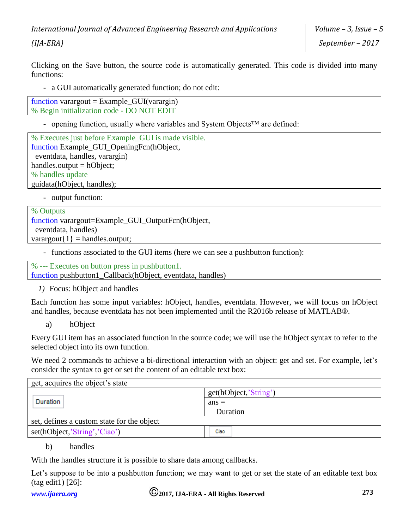*International Journal of Advanced Engineering Research and Applications* 

*(IJA-ERA)*

Clicking on the Save button, the source code is automatically generated. This code is divided into many functions:

- a GUI automatically generated function; do not edit:

| function varargout = $Example_{\text{GUI}}(varargin)$ |  |
|-------------------------------------------------------|--|
| % Begin initialization code - DO NOT EDIT             |  |

- opening function, usually where variables and System Objects™ are defined:

% Executes just before Example\_GUI is made visible. function Example\_GUI\_OpeningFcn(hObject, eventdata, handles, varargin) handles.output = hObject; % handles update guidata(hObject, handles);

- output function:

#### % Outputs function varargout=Example\_GUI\_OutputFcn(hObject, eventdata, handles) varargout $\{1\}$  = handles.output;

- functions associated to the GUI items (here we can see a pushbutton function):

% --- Executes on button press in pushbutton1.

function pushbutton1\_Callback(hObject, eventdata, handles)

*1)* Focus: hObject and handles

Each function has some input variables: hObject, handles, eventdata. However, we will focus on hObject and handles, because eventdata has not been implemented until the R2016b release of MATLAB®.

a) hObject

Every GUI item has an associated function in the source code; we will use the hObject syntax to refer to the selected object into its own function.

We need 2 commands to achieve a bi-directional interaction with an object: get and set. For example, let's consider the syntax to get or set the content of an editable text box:

| get, acquires the object's state           |                       |
|--------------------------------------------|-----------------------|
|                                            | get(hObject,'String') |
| Duration                                   | $ans =$               |
|                                            | Duration              |
| set, defines a custom state for the object |                       |
| set(hObject,'String','Ciao')               | Ciao                  |

#### b) handles

With the handles structure it is possible to share data among callbacks.

Let's suppose to be into a pushbutton function; we may want to get or set the state of an editable text box (tag edit1) [26]: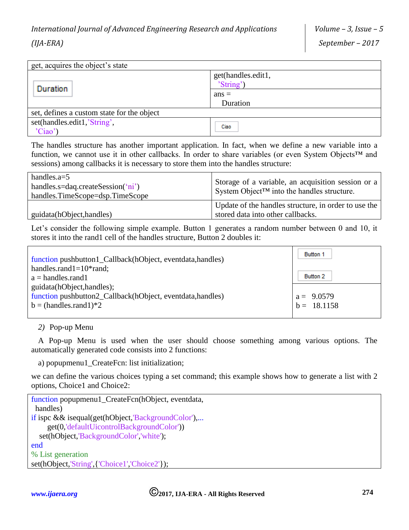| get, acquires the object's state           |                                 |  |  |  |  |  |
|--------------------------------------------|---------------------------------|--|--|--|--|--|
| <b>Duration</b>                            | get(handles.edit1,<br>'String') |  |  |  |  |  |
|                                            | $ans =$                         |  |  |  |  |  |
|                                            | Duration                        |  |  |  |  |  |
| set, defines a custom state for the object |                                 |  |  |  |  |  |
| set(handles.edit1,'String',                | Ciao                            |  |  |  |  |  |
| 'Ciao'                                     |                                 |  |  |  |  |  |

The handles structure has another important application. In fact, when we define a new variable into a function, we cannot use it in other callbacks. In order to share variables (or even System Objects™ and sessions) among callbacks it is necessary to store them into the handles structure:

| handles.a= $5$<br>handles.s=daq.createSession $(\hat{i} \nii')$<br>handles.TimeScope=dsp.TimeScope | Storage of a variable, an acquisition session or a<br>System Object <sup>TM</sup> into the handles structure. |
|----------------------------------------------------------------------------------------------------|---------------------------------------------------------------------------------------------------------------|
| guidata(hObject, handles)                                                                          | Update of the handles structure, in order to use the<br>stored data into other callbacks.                     |

Let's consider the following simple example. Button 1 generates a random number between 0 and 10, it stores it into the rand1 cell of the handles structure, Button 2 doubles it:

| function pushbutton1_Callback(hObject, eventdata, handles) | Button 1                    |
|------------------------------------------------------------|-----------------------------|
| handles.rand $1=10^*$ rand;                                |                             |
| $a =$ handles.rand1                                        | Button 2                    |
| guidata(hObject, handles);                                 |                             |
| function pushbutton2_Callback(hObject, eventdata, handles) |                             |
| $b = (handles, rand1)*2$                                   | $a = 9.0579$<br>b = 18.1158 |
|                                                            |                             |

*2)* Pop-up Menu

A Pop-up Menu is used when the user should choose something among various options. The automatically generated code consists into 2 functions:

a) popupmenu1\_CreateFcn: list initialization;

we can define the various choices typing a set command; this example shows how to generate a list with 2 options, Choice1 and Choice2:

```
function popupmenu1_CreateFcn(hObject, eventdata,
 handles)
if ispc && isequal(get(hObject,'BackgroundColor'),...
     get(0,'defaultUicontrolBackgroundColor'))
   set(hObject,'BackgroundColor','white');
end
% List generation
set(hObject,'String',{'Choice1','Choice2'});
```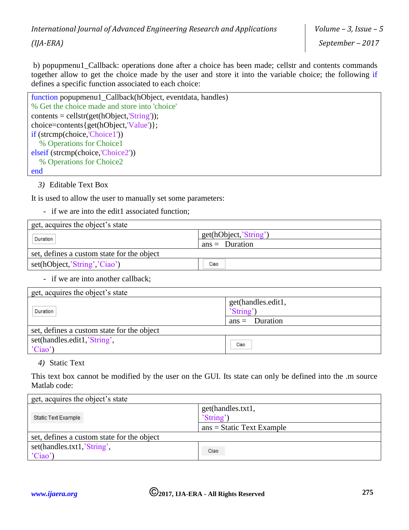b) popupmenu1\_Callback: operations done after a choice has been made; cellstr and contents commands together allow to get the choice made by the user and store it into the variable choice; the following if defines a specific function associated to each choice:

| function popupmenu1_Callback(hObject, eventdata, handles) |
|-----------------------------------------------------------|
| % Get the choice made and store into 'choice'             |
| $contents = cellstr(get(hObject, 'String'));$             |
| choice=contents{get(hObject,'Value')};                    |
| if (strcmp(choice,'Choice1'))                             |
| % Operations for Choice1                                  |
| elseif (strcmp(choice, 'Choice2'))                        |
| % Operations for Choice2                                  |
| end                                                       |

*3)* Editable Text Box

It is used to allow the user to manually set some parameters:

- if we are into the edit1 associated function;

| get, acquires the object's state           |                       |  |
|--------------------------------------------|-----------------------|--|
| Duration                                   | get(hObject,'String') |  |
|                                            | $ans = Duration$      |  |
| set, defines a custom state for the object |                       |  |
| set(hObject,'String','Ciao')               | Ciao                  |  |

#### - if we are into another callback;

| get, acquires the object's state           |                                 |  |
|--------------------------------------------|---------------------------------|--|
| Duration                                   | get(handles.edit1,<br>'String') |  |
|                                            | $ans =$ Duration                |  |
| set, defines a custom state for the object |                                 |  |
| set(handles.edit1,'String',<br>'Ciao'      | Ciao                            |  |

#### *4)* Static Text

This text box cannot be modified by the user on the GUI. Its state can only be defined into the .m source Matlab code:

| get, acquires the object's state           |                                |  |
|--------------------------------------------|--------------------------------|--|
| <b>Static Text Example</b>                 | get(handles.txt1,<br>'String') |  |
|                                            | $ans = Static Text Example$    |  |
| set, defines a custom state for the object |                                |  |
| set(handles.txt1,'String',<br>'Ciao'       | Ciao                           |  |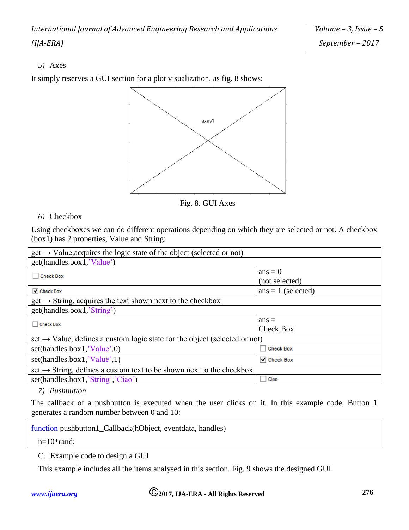*International Journal of Advanced Engineering Research and Applications (IJA-ERA)*

## *5)* Axes

It simply reserves a GUI section for a plot visualization, as fig. 8 shows:



Fig. 8. GUI Axes

## *6)* Checkbox

Using checkboxes we can do different operations depending on which they are selected or not. A checkbox (box1) has 2 properties, Value and String:

| $get \rightarrow Value$ , acquires the logic state of the object (selected or not)     |                                 |  |
|----------------------------------------------------------------------------------------|---------------------------------|--|
| get(handles.box1,'Value')                                                              |                                 |  |
| <b>Check Box</b>                                                                       | $ans = 0$                       |  |
|                                                                                        | (not selected)                  |  |
| $\blacktriangleright$ Check Box                                                        | $ans = 1$ (selected)            |  |
| $get \rightarrow String$ , acquires the text shown next to the checkbox                |                                 |  |
| get(handles.box1,'String')                                                             |                                 |  |
| <b>Check Box</b><br>$\vert \ \ \vert$                                                  | $ans =$                         |  |
|                                                                                        | <b>Check Box</b>                |  |
| set $\rightarrow$ Value, defines a custom logic state for the object (selected or not) |                                 |  |
| set(handles.box1, 'Value',0)                                                           | <b>Check Box</b>                |  |
| set(handles.box1, Value',1)                                                            | $\blacktriangleright$ Check Box |  |
| set $\rightarrow$ String, defines a custom text to be shown next to the checkbox       |                                 |  |
| set(handles.box1,'String','Ciao')                                                      | Ciao                            |  |

## *7) Pushbutton*

The callback of a pushbutton is executed when the user clicks on it. In this example code, Button 1 generates a random number between 0 and 10:

function pushbutton1\_Callback(hObject, eventdata, handles)

n=10\*rand;

C. Example code to design a GUI

This example includes all the items analysed in this section. Fig. 9 shows the designed GUI.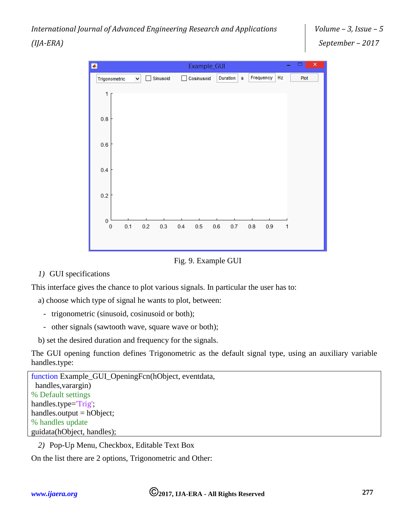*International Journal of Advanced Engineering Research and Applications (IJA-ERA)*



Fig. 9. Example GUI

*1)* GUI specifications

This interface gives the chance to plot various signals. In particular the user has to:

- a) choose which type of signal he wants to plot, between:
	- trigonometric (sinusoid, cosinusoid or both);
	- other signals (sawtooth wave, square wave or both);
- b) set the desired duration and frequency for the signals.

The GUI opening function defines Trigonometric as the default signal type, using an auxiliary variable handles.type:

```
function Example_GUI_OpeningFcn(hObject, eventdata, 
  handles,varargin)
% Default settings
handles.type='Trig';
handles.output = hObject;
% handles update
guidata(hObject, handles);
```
*2)* Pop-Up Menu, Checkbox, Editable Text Box

On the list there are 2 options, Trigonometric and Other: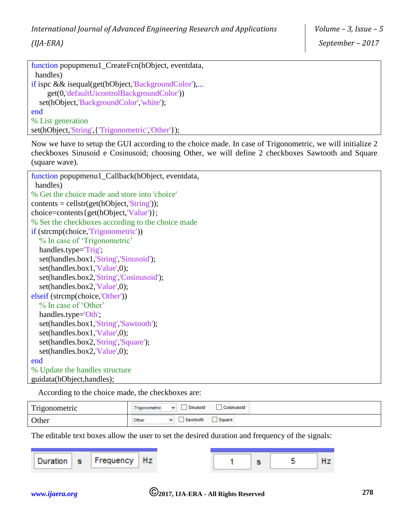```
function popupmenu1 CreateFcn(hObject, eventdata,
  handles)
if ispc && isequal(get(hObject,'BackgroundColor'),...
     get(0,'defaultUicontrolBackgroundColor'))
   set(hObject,'BackgroundColor','white');
end
% List generation
set(hObject,'String',{'Trigonometric','Other'});
```
*(IJA-ERA)*

Now we have to setup the GUI according to the choice made. In case of Trigonometric, we will initialize 2 checkboxes Sinusoid e Cosinusoid; choosing Other, we will define 2 checkboxes Sawtooth and Square (square wave).

```
function popupmenu1_Callback(hObject, eventdata, 
 handles)
% Get the choice made and store into 'choice'
contents = cellstr(get(hObject, String'));choice=contents{get(hObject,'Value')};
% Set the checkboxes according to the choice made
if (strcmp(choice,'Trigonometric'))
   % In case of 'Trigonometric'
   handles.type='Trig';
  set(handles.box1,'String','Sinusoid');
   set(handles.box1,'Value',0);
   set(handles.box2,'String','Cosinusoid');
  set(handles.box2,'Value',0);
elseif (strcmp(choice,'Other'))
   % In case of 'Other'
   handles.type='Oth';
   set(handles.box1,'String','Sawtooth');
   set(handles.box1,'Value',0);
   set(handles.box2,'String','Square');
   set(handles.box2,'Value',0);
end
% Update the handles structure
guidata(hObject,handles);
```
According to the choice made, the checkboxes are:

| Trigonometric | Sinusoid<br>Cosinusoid<br>$\overline{\phantom{a}}$<br>$\overline{\phantom{a}}$<br>Trigonometric |
|---------------|-------------------------------------------------------------------------------------------------|
| Other         | Sawtooth<br>Other<br>Square                                                                     |

The editable text boxes allow the user to set the desired duration and frequency of the signals:

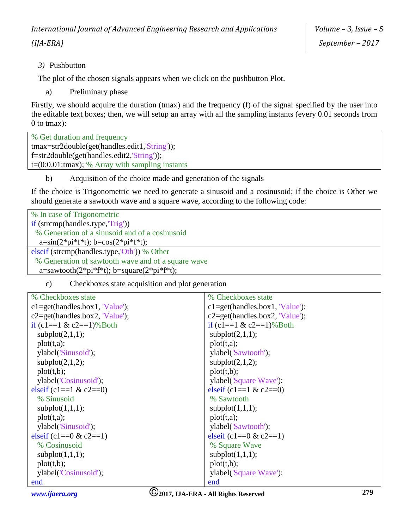*3)* Pushbutton

The plot of the chosen signals appears when we click on the pushbutton Plot.

a) Preliminary phase

Firstly, we should acquire the duration (tmax) and the frequency (f) of the signal specified by the user into the editable text boxes; then, we will setup an array with all the sampling instants (every 0.01 seconds from 0 to tmax):

% Get duration and frequency tmax=str2double(get(handles.edit1,'String')); f=str2double(get(handles.edit2,'String'));  $t=(0:0.01:$ tmax); % Array with sampling instants

b) Acquisition of the choice made and generation of the signals

If the choice is Trigonometric we need to generate a sinusoid and a cosinusoid; if the choice is Other we should generate a sawtooth wave and a square wave, according to the following code:

| % In case of Trigonometric                                                                 |
|--------------------------------------------------------------------------------------------|
| if $(strcmp(handles.type, Trig'))$                                                         |
| % Generation of a sinusoid and of a cosinusoid                                             |
| $a=sin(2*pi*f*t); b=cos(2*pi*f*t);$                                                        |
| elseif (strcmp(handles.type,'Oth')) % Other                                                |
| % Generation of sawtooth wave and of a square wave                                         |
| $a=$ sawtooth $(2 \cdot p i \cdot f \cdot f)$ ; b=square $(2 \cdot p i \cdot f \cdot f)$ ; |
|                                                                                            |

c) Checkboxes state acquisition and plot generation

| % Checkboxes state                 | % Checkboxes state                 |
|------------------------------------|------------------------------------|
| $c1 = get(handles-box1, 'Value');$ | $c1 = get(handles-box1, 'Value');$ |
| $c2 = get(handles-box2, 'Value');$ | $c2 = get(handles-box2, 'Value');$ |
| if $(c1 == 1 \& c2 == 1)\%$ Both   | if $(c1 == 1 \& c2 == 1)\%$ Both   |
| subplot(2,1,1);                    | subplot(2,1,1);                    |
| plot(t,a);                         | plot(t,a);                         |
| ylabel('Sinusoid');                | ylabel('Sawtooth');                |
| subplot(2,1,2);                    | subplot(2,1,2);                    |
| plot(t,b);                         | plot(t,b);                         |
| ylabel('Cosinusoid');              | ylabel('Square Wave');             |
| elseif $(c1 == 1 \& c2 == 0)$      | elseif $(c1 == 1 \& c2 == 0)$      |
| % Sinusoid                         | % Sawtooth                         |
| subplot(1,1,1);                    | subplot(1,1,1);                    |
| plot(t,a);                         | plot(t,a);                         |
| ylabel('Sinusoid');                | ylabel('Sawtooth');                |
| elseif $(c1 == 0 & c2 == 1)$       | elseif (c1== $0 &c2 == 1$ )        |
| % Cosinusoid                       | % Square Wave                      |
| subplot(1,1,1);                    | subplot(1,1,1);                    |
| plot(t,b);                         | plot(t,b);                         |
| ylabel('Cosinusoid');              | ylabel('Square Wave');             |
| end<br>$\sim$                      | end                                |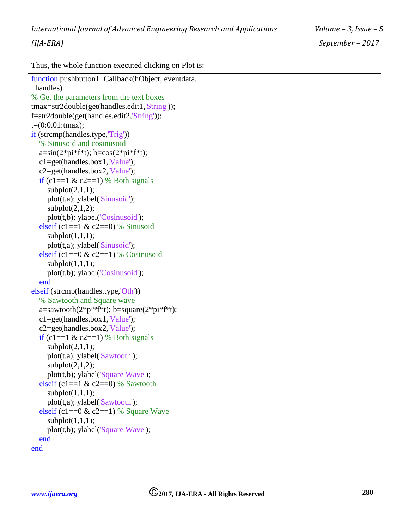Thus, the whole function executed clicking on Plot is:

```
function pushbutton1 Callback(hObject, eventdata,
 handles)
% Get the parameters from the text boxes
tmax=str2double(get(handles.edit1,'String'));
f=str2double(get(handles.edit2,'String'));
t=(0:0.01:tmax);
if (strcmp(handles.type,'Trig'))
   % Sinusoid and cosinusoid
  a=sin(2*pi*f*t); b=cos(2*pi*f*t); c1=get(handles.box1,'Value');
   c2=get(handles.box2,'Value');
  if (c1==1 \& c2==1) % Both signals
     subplot(2,1,1); plot(t,a); ylabel('Sinusoid');
    subplot(2,1,2); plot(t,b); ylabel('Cosinusoid');
  elseif (c1==1 \& c2==0) % Sinusoid
    subplot(1,1,1); plot(t,a); ylabel('Sinusoid');
  elseif (c1==0 & c2==1) % Cosinusoid
     subplot(1,1,1); plot(t,b); ylabel('Cosinusoid');
   end
elseif (strcmp(handles.type,'Oth'))
   % Sawtooth and Square wave
  a=sawtooth(2*pi*f*t); b=square(2*pi*f*t); c1=get(handles.box1,'Value');
   c2=get(handles.box2,'Value');
  if (c1==1 \& c2==1) % Both signals
     subplot(2,1,1); plot(t,a); ylabel('Sawtooth');
    subplot(2,1,2); plot(t,b); ylabel('Square Wave');
  elseif (c1==1 \& c2==0) % Sawtooth
     subplot(1,1,1); plot(t,a); ylabel('Sawtooth');
  elseif (c1==0 & c2==1) % Square Wave
    subplot(1,1,1); plot(t,b); ylabel('Square Wave');
   end
end
```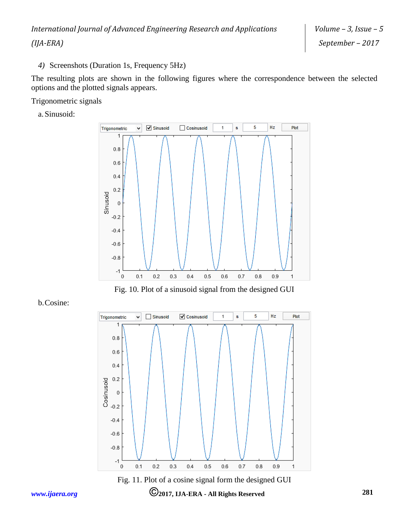*4)* Screenshots (Duration 1s, Frequency 5Hz)

The resulting plots are shown in the following figures where the correspondence between the selected options and the plotted signals appears.

Trigonometric signals

a. Sinusoid:



Fig. 10. Plot of a sinusoid signal from the designed GUI





Fig. 11. Plot of a cosine signal form the designed GUI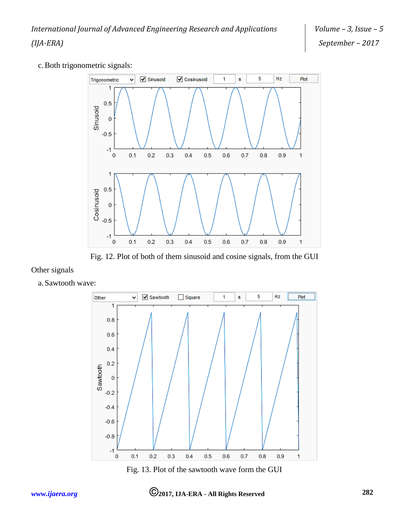



Fig. 12. Plot of both of them sinusoid and cosine signals, from the GUI

## Other signals

a. Sawtooth wave:



Fig. 13. Plot of the sawtooth wave form the GUI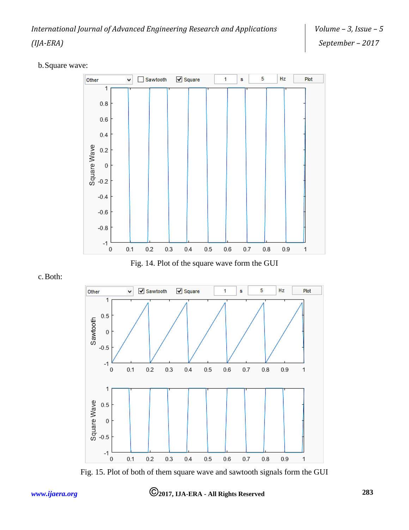b.Square wave:



Fig. 14. Plot of the square wave form the GUI

c.Both:



Fig. 15. Plot of both of them square wave and sawtooth signals form the GUI